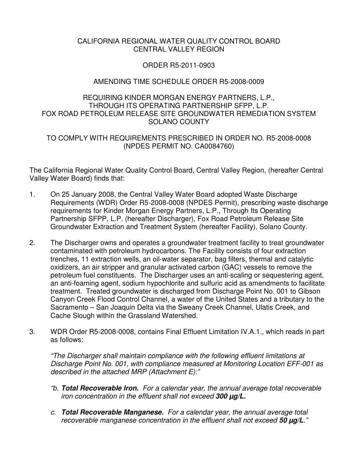### CALIFORNIA REGIONAL WATER QUALITY CONTROL BOARD CENTRAL VALLEY REGION

### ORDER R5-2011-0903

## AMENDING TIME SCHEDULE ORDER R5-2008-0009

## REQUIRING KINDER MORGAN ENERGY PARTNERS, L.P., THROUGH ITS OPERATING PARTNERSHIP SFPP, L.P. FOX ROAD PETROLEUM RELEASE SITE GROUNDWATER REMEDIATION SYSTEM SOLANO COUNTY

## TO COMPLY WITH REQUIREMENTS PRESCRIBED IN ORDER NO. R5-2008-0008 (NPDES PERMIT NO. CA0084760)

The California Regional Water Quality Control Board, Central Valley Region, (hereafter Central Valley Water Board) finds that:

- 1. On 25 January 2008, the Central Valley Water Board adopted Waste Discharge Requirements (WDR) Order R5-2008-0008 (NPDES Permit), prescribing waste discharge requirements for Kinder Morgan Energy Partners, L.P., Through Its Operating Partnership SFPP, L.P. (hereafter Discharger), Fox Road Petroleum Release Site Groundwater Extraction and Treatment System (hereafter Facility), Solano County.
- 2. The Discharger owns and operates a groundwater treatment facility to treat groundwater contaminated with petroleum hydrocarbons. The Facility consists of four extraction trenches, 11 extraction wells, an oil-water separator, bag filters, thermal and catalytic oxidizers, an air stripper and granular activated carbon (GAC) vessels to remove the petroleum fuel constituents. The Discharger uses an anti-scaling or sequestering agent, an anti-foaming agent, sodium hypochlorite and sulfuric acid as amendments to facilitate treatment. Treated groundwater is discharged from Discharge Point No. 001 to Gibson Canyon Creek Flood Control Channel, a water of the United States and a tributary to the Sacramento – San Joaquin Delta via the Sweany Creek Channel, Ulatis Creek, and Cache Slough within the Grassland Watershed.
- 3. WDR Order R5-2008-0008, contains Final Effluent Limitation IV.A.1., which reads in part as follows:

"The Discharger shall maintain compliance with the following effluent limitations at Discharge Point No. 001, with compliance measured at Monitoring Location EFF-001 as described in the attached MRP (Attachment E):"

- "b. **Total Recoverable Iron.** For a calendar year, the annual average total recoverable iron concentration in the effluent shall not exceed **300 µg/L.**
- c. **Total Recoverable Manganese.** For a calendar year, the annual average total recoverable manganese concentration in the effluent shall not exceed **50 µg/L**."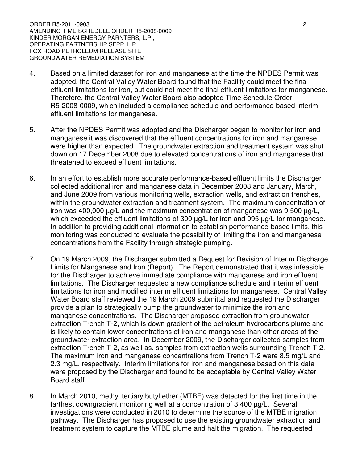ORDER R5-2011-0903 2 AMENDING TIME SCHEDULE ORDER R5-2008-0009 KINDER MORGAN ENERGY PARNTERS, L.P., OPERATING PARTNERSHIP SFPP, L.P. FOX ROAD PETROLEUM RELEASE SITE GROUNDWATER REMEDIATION SYSTEM

- 4. Based on a limited dataset for iron and manganese at the time the NPDES Permit was adopted, the Central Valley Water Board found that the Facility could meet the final effluent limitations for iron, but could not meet the final effluent limitations for manganese. Therefore, the Central Valley Water Board also adopted Time Schedule Order R5-2008-0009, which included a compliance schedule and performance-based interim effluent limitations for manganese.
- 5. After the NPDES Permit was adopted and the Discharger began to monitor for iron and manganese it was discovered that the effluent concentrations for iron and manganese were higher than expected. The groundwater extraction and treatment system was shut down on 17 December 2008 due to elevated concentrations of iron and manganese that threatened to exceed effluent limitations.
- 6. In an effort to establish more accurate performance-based effluent limits the Discharger collected additional iron and manganese data in December 2008 and January, March, and June 2009 from various monitoring wells, extraction wells, and extraction trenches, within the groundwater extraction and treatment system. The maximum concentration of iron was 400,000 µg/L and the maximum concentration of manganese was 9,500 µg/L, which exceeded the effluent limitations of 300  $\mu$ g/L for iron and 995  $\mu$ g/L for manganese. In addition to providing additional information to establish performance-based limits, this monitoring was conducted to evaluate the possibility of limiting the iron and manganese concentrations from the Facility through strategic pumping.
- 7. On 19 March 2009, the Discharger submitted a Request for Revision of Interim Discharge Limits for Manganese and Iron (Report). The Report demonstrated that it was infeasible for the Discharger to achieve immediate compliance with manganese and iron effluent limitations. The Discharger requested a new compliance schedule and interim effluent limitations for iron and modified interim effluent limitations for manganese. Central Valley Water Board staff reviewed the 19 March 2009 submittal and requested the Discharger provide a plan to strategically pump the groundwater to minimize the iron and manganese concentrations. The Discharger proposed extraction from groundwater extraction Trench T-2, which is down gradient of the petroleum hydrocarbons plume and is likely to contain lower concentrations of iron and manganese than other areas of the groundwater extraction area. In December 2009, the Discharger collected samples from extraction Trench T-2, as well as, samples from extraction wells surrounding Trench T-2. The maximum iron and manganese concentrations from Trench T-2 were 8.5 mg/L and 2.3 mg/L, respectively. Interim limitations for iron and manganese based on this data were proposed by the Discharger and found to be acceptable by Central Valley Water Board staff.
- 8. In March 2010, methyl tertiary butyl ether (MTBE) was detected for the first time in the farthest downgradient monitoring well at a concentration of 3,400 µg/L. Several investigations were conducted in 2010 to determine the source of the MTBE migration pathway. The Discharger has proposed to use the existing groundwater extraction and treatment system to capture the MTBE plume and halt the migration. The requested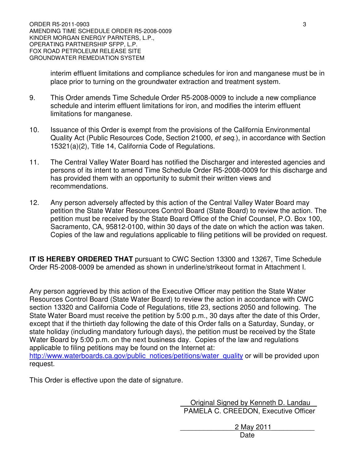interim effluent limitations and compliance schedules for iron and manganese must be in place prior to turning on the groundwater extraction and treatment system.

- 9. This Order amends Time Schedule Order R5-2008-0009 to include a new compliance schedule and interim effluent limitations for iron, and modifies the interim effluent limitations for manganese.
- 10. Issuance of this Order is exempt from the provisions of the California Environmental Quality Act (Public Resources Code, Section 21000, et seq.), in accordance with Section 15321(a)(2), Title 14, California Code of Regulations.
- 11. The Central Valley Water Board has notified the Discharger and interested agencies and persons of its intent to amend Time Schedule Order R5-2008-0009 for this discharge and has provided them with an opportunity to submit their written views and recommendations.
- 12. Any person adversely affected by this action of the Central Valley Water Board may petition the State Water Resources Control Board (State Board) to review the action. The petition must be received by the State Board Office of the Chief Counsel, P.O. Box 100, Sacramento, CA, 95812-0100, within 30 days of the date on which the action was taken. Copies of the law and regulations applicable to filing petitions will be provided on request.

**IT IS HEREBY ORDERED THAT** pursuant to CWC Section 13300 and 13267, Time Schedule Order R5-2008-0009 be amended as shown in underline/strikeout format in Attachment I.

Any person aggrieved by this action of the Executive Officer may petition the State Water Resources Control Board (State Water Board) to review the action in accordance with CWC section 13320 and California Code of Regulations, title 23, sections 2050 and following. The State Water Board must receive the petition by 5:00 p.m., 30 days after the date of this Order, except that if the thirtieth day following the date of this Order falls on a Saturday, Sunday, or state holiday (including mandatory furlough days), the petition must be received by the State Water Board by 5:00 p.m. on the next business day. Copies of the law and regulations applicable to filing petitions may be found on the Internet at:

http://www.waterboards.ca.gov/public\_notices/petitions/water\_quality or will be provided upon request.

This Order is effective upon the date of signature.

Original Signed by Kenneth D. Landau PAMELA C. CREEDON, Executive Officer

\_\_\_\_\_\_\_\_\_\_\_\_\_\_2 May 2011\_\_\_\_\_\_\_\_\_\_\_ **Date**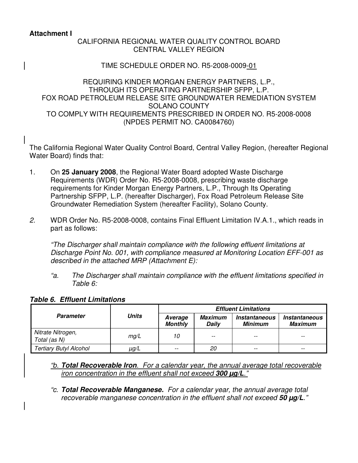### **Attachment I**

# CALIFORNIA REGIONAL WATER QUALITY CONTROL BOARD CENTRAL VALLEY REGION

### TIME SCHEDULE ORDER NO. R5-2008-0009-01

### REQUIRING KINDER MORGAN ENERGY PARTNERS, L.P., THROUGH ITS OPERATING PARTNERSHIP SFPP, L.P. FOX ROAD PETROLEUM RELEASE SITE GROUNDWATER REMEDIATION SYSTEM SOLANO COUNTY TO COMPLY WITH REQUIREMENTS PRESCRIBED IN ORDER NO. R5-2008-0008 (NPDES PERMIT NO. CA0084760)

The California Regional Water Quality Control Board, Central Valley Region, (hereafter Regional Water Board) finds that:

- 1. On **25 January 2008**, the Regional Water Board adopted Waste Discharge Requirements (WDR) Order No. R5-2008-0008, prescribing waste discharge requirements for Kinder Morgan Energy Partners, L.P., Through Its Operating Partnership SFPP, L.P. (hereafter Discharger), Fox Road Petroleum Release Site Groundwater Remediation System (hereafter Facility), Solano County.
- 2. WDR Order No. R5-2008-0008, contains Final Effluent Limitation IV.A.1., which reads in part as follows:

"The Discharger shall maintain compliance with the following effluent limitations at Discharge Point No. 001, with compliance measured at Monitoring Location EFF-001 as described in the attached MRP (Attachment E):

"a. The Discharger shall maintain compliance with the effluent limitations specified in Table 6:

|                                   | Units | <b>Effluent Limitations</b> |                  |                                        |                                               |
|-----------------------------------|-------|-----------------------------|------------------|----------------------------------------|-----------------------------------------------|
| Parameter                         |       | Average<br><b>Monthly</b>   | Maximum<br>Daily | <i><b>Instantaneous</b></i><br>Minimum | <i><b>Instantaneous</b></i><br><b>Maximum</b> |
| Nitrate Nitrogen,<br>Total (as N) | mg/L  | 10                          | --               |                                        | $- -$                                         |
| <b>Tertiary Butyl Alcohol</b>     | µg/L  |                             | 20               |                                        |                                               |

### **Table 6. Effluent Limitations**

"b. **Total Recoverable Iron**. For a calendar year, the annual average total recoverable iron concentration in the effluent shall not exceed **300 µg/L**."

"c. **Total Recoverable Manganese.** For a calendar year, the annual average total recoverable manganese concentration in the effluent shall not exceed **50 µg/L**."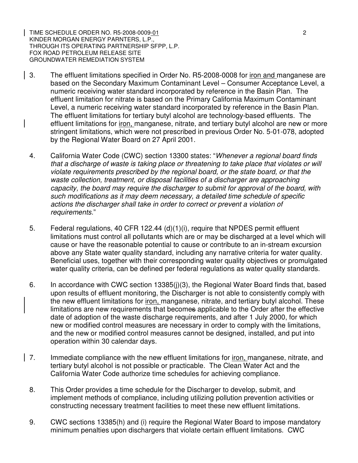TIME SCHEDULE ORDER NO. R5-2008-0009-01 2 KINDER MORGAN ENERGY PARNTERS, L.P., THROUGH ITS OPERATING PARTNERSHIP SFPP, L.P. FOX ROAD PETROLEUM RELEASE SITE GROUNDWATER REMEDIATION SYSTEM

- 3. The effluent limitations specified in Order No. R5-2008-0008 for iron and manganese are based on the Secondary Maximum Contaminant Level – Consumer Acceptance Level, a numeric receiving water standard incorporated by reference in the Basin Plan. The effluent limitation for nitrate is based on the Primary California Maximum Contaminant Level, a numeric receiving water standard incorporated by reference in the Basin Plan. The effluent limitations for tertiary butyl alcohol are technology-based effluents. The effluent limitations for iron, manganese, nitrate, and tertiary butyl alcohol are new or more stringent limitations, which were not prescribed in previous Order No. 5-01-078, adopted by the Regional Water Board on 27 April 2001.
- 4. California Water Code (CWC) section 13300 states: "Whenever a regional board finds that a discharge of waste is taking place or threatening to take place that violates or will violate requirements prescribed by the regional board, or the state board, or that the waste collection, treatment, or disposal facilities of a discharger are approaching capacity, the board may require the discharger to submit for approval of the board, with such modifications as it may deem necessary, a detailed time schedule of specific actions the discharger shall take in order to correct or prevent a violation of requirements."
- 5. Federal regulations, 40 CFR 122.44 (d)(1)(i), require that NPDES permit effluent limitations must control all pollutants which are or may be discharged at a level which will cause or have the reasonable potential to cause or contribute to an in-stream excursion above any State water quality standard, including any narrative criteria for water quality. Beneficial uses, together with their corresponding water quality objectives or promulgated water quality criteria, can be defined per federal regulations as water quality standards.
- 6. In accordance with CWC section 13385(j)(3), the Regional Water Board finds that, based upon results of effluent monitoring, the Discharger is not able to consistently comply with the new effluent limitations for *iron*, manganese, nitrate, and tertiary butyl alcohol. These limitations are new requirements that becomes applicable to the Order after the effective date of adoption of the waste discharge requirements, and after 1 July 2000, for which new or modified control measures are necessary in order to comply with the limitations, and the new or modified control measures cannot be designed, installed, and put into operation within 30 calendar days.
- 7. Immediate compliance with the new effluent limitations for iron, manganese, nitrate, and tertiary butyl alcohol is not possible or practicable. The Clean Water Act and the California Water Code authorize time schedules for achieving compliance.
- 8. This Order provides a time schedule for the Discharger to develop, submit, and implement methods of compliance, including utilizing pollution prevention activities or constructing necessary treatment facilities to meet these new effluent limitations.
- 9. CWC sections 13385(h) and (i) require the Regional Water Board to impose mandatory minimum penalties upon dischargers that violate certain effluent limitations. CWC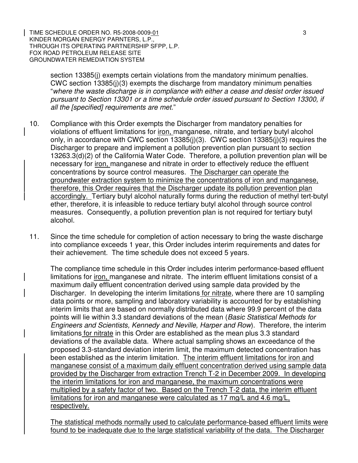TIME SCHEDULE ORDER NO. R5-2008-0009-01 3 3 KINDER MORGAN ENERGY PARNTERS, L.P., THROUGH ITS OPERATING PARTNERSHIP SFPP, L.P. FOX ROAD PETROLEUM RELEASE SITE GROUNDWATER REMEDIATION SYSTEM

section 13385(i) exempts certain violations from the mandatory minimum penalties. CWC section 13385(j)(3) exempts the discharge from mandatory minimum penalties "where the waste discharge is in compliance with either a cease and desist order issued pursuant to Section 13301 or a time schedule order issued pursuant to Section 13300, if all the [specified] requirements are met."

- 10. Compliance with this Order exempts the Discharger from mandatory penalties for violations of effluent limitations for iron, manganese, nitrate, and tertiary butyl alcohol only, in accordance with CWC section 13385(j)(3). CWC section 13385(j)(3) requires the Discharger to prepare and implement a pollution prevention plan pursuant to section 13263.3(d)(2) of the California Water Code. Therefore, a pollution prevention plan will be necessary for iron, manganese and nitrate in order to effectively reduce the effluent concentrations by source control measures. The Discharger can operate the groundwater extraction system to minimize the concentrations of iron and manganese, therefore, this Order requires that the Discharger update its pollution prevention plan accordingly. Tertiary butyl alcohol naturally forms during the reduction of methyl tert-butyl ether, therefore, it is infeasible to reduce tertiary butyl alcohol through source control measures. Consequently, a pollution prevention plan is not required for tertiary butyl alcohol.
- 11. Since the time schedule for completion of action necessary to bring the waste discharge into compliance exceeds 1 year, this Order includes interim requirements and dates for their achievement. The time schedule does not exceed 5 years.

The compliance time schedule in this Order includes interim performance-based effluent limitations for iron, manganese and nitrate. The interim effluent limitations consist of a maximum daily effluent concentration derived using sample data provided by the Discharger. In developing the interim limitations for nitrate, where there are 10 sampling data points or more, sampling and laboratory variability is accounted for by establishing interim limits that are based on normally distributed data where 99.9 percent of the data points will lie within 3.3 standard deviations of the mean (Basic Statistical Methods for Engineers and Scientists, Kennedy and Neville, Harper and Row). Therefore, the interim limitations for nitrate in this Order are established as the mean plus 3.3 standard deviations of the available data. Where actual sampling shows an exceedance of the proposed 3.3-standard deviation interim limit, the maximum detected concentration has been established as the interim limitation. The interim effluent limitations for iron and manganese consist of a maximum daily effluent concentration derived using sample data provided by the Discharger from extraction Trench T-2 in December 2009. In developing the interim limitations for iron and manganese, the maximum concentrations were multiplied by a safety factor of two. Based on the Trench T-2 data, the interim effluent limitations for iron and manganese were calculated as 17 mg/L and 4.6 mg/L, respectively.

The statistical methods normally used to calculate performance-based effluent limits were found to be inadequate due to the large statistical variability of the data. The Discharger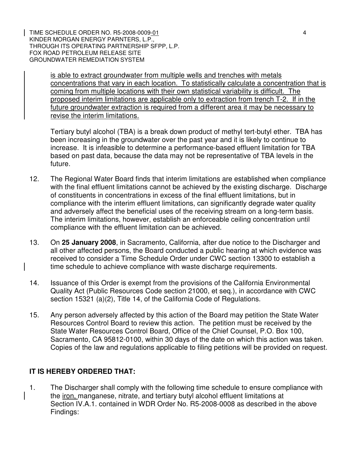TIME SCHEDULE ORDER NO. R5-2008-0009-01 4 KINDER MORGAN ENERGY PARNTERS, L.P., THROUGH ITS OPERATING PARTNERSHIP SFPP, L.P. FOX ROAD PETROLEUM RELEASE SITE GROUNDWATER REMEDIATION SYSTEM

is able to extract groundwater from multiple wells and trenches with metals concentrations that vary in each location. To statistically calculate a concentration that is coming from multiple locations with their own statistical variability is difficult. The proposed interim limitations are applicable only to extraction from trench T-2. If in the future groundwater extraction is required from a different area it may be necessary to revise the interim limitations.

Tertiary butyl alcohol (TBA) is a break down product of methyl tert-butyl ether. TBA has been increasing in the groundwater over the past year and it is likely to continue to increase. It is infeasible to determine a performance-based effluent limitation for TBA based on past data, because the data may not be representative of TBA levels in the future.

- 12. The Regional Water Board finds that interim limitations are established when compliance with the final effluent limitations cannot be achieved by the existing discharge. Discharge of constituents in concentrations in excess of the final effluent limitations, but in compliance with the interim effluent limitations, can significantly degrade water quality and adversely affect the beneficial uses of the receiving stream on a long-term basis. The interim limitations, however, establish an enforceable ceiling concentration until compliance with the effluent limitation can be achieved.
- 13. On **25 January 2008**, in Sacramento, California, after due notice to the Discharger and all other affected persons, the Board conducted a public hearing at which evidence was received to consider a Time Schedule Order under CWC section 13300 to establish a time schedule to achieve compliance with waste discharge requirements.
- 14. Issuance of this Order is exempt from the provisions of the California Environmental Quality Act (Public Resources Code section 21000, et seq.), in accordance with CWC section 15321 (a)(2), Title 14, of the California Code of Regulations.
- 15. Any person adversely affected by this action of the Board may petition the State Water Resources Control Board to review this action. The petition must be received by the State Water Resources Control Board, Office of the Chief Counsel, P.O. Box 100, Sacramento, CA 95812-0100, within 30 days of the date on which this action was taken. Copies of the law and regulations applicable to filing petitions will be provided on request.

# **IT IS HEREBY ORDERED THAT:**

1. The Discharger shall comply with the following time schedule to ensure compliance with the iron, manganese, nitrate, and tertiary butyl alcohol effluent limitations at Section IV.A.1. contained in WDR Order No. R5-2008-0008 as described in the above Findings: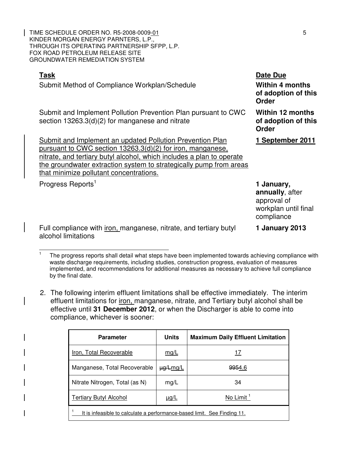TIME SCHEDULE ORDER NO. R5-2008-0009<u>-01</u> 55 KINDER MORGAN ENERGY PARNTERS, L.P., THROUGH ITS OPERATING PARTNERSHIP SFPP, L.P. FOX ROAD PETROLEUM RELEASE SITE GROUNDWATER REMEDIATION SYSTEM

| Task<br>Submit Method of Compliance Workplan/Schedule                                                                                                                                                                                                                                                             | Date Due<br><b>Within 4 months</b><br>of adoption of this<br><b>Order</b>          |
|-------------------------------------------------------------------------------------------------------------------------------------------------------------------------------------------------------------------------------------------------------------------------------------------------------------------|------------------------------------------------------------------------------------|
| Submit and Implement Pollution Prevention Plan pursuant to CWC<br>section $13263.3(d)(2)$ for manganese and nitrate                                                                                                                                                                                               | <b>Within 12 months</b><br>of adoption of this<br><b>Order</b>                     |
| Submit and Implement an updated Pollution Prevention Plan<br>pursuant to CWC section 13263.3(d)(2) for iron, manganese,<br>nitrate, and tertiary butyl alcohol, which includes a plan to operate<br>the groundwater extraction system to strategically pump from areas<br>that minimize pollutant concentrations. | 1 September 2011                                                                   |
| Progress Reports <sup>1</sup>                                                                                                                                                                                                                                                                                     | 1 January,<br>annually, after<br>approval of<br>workplan until final<br>compliance |
| Full compliance with <i>iron</i> , manganese, nitrate, and tertiary butyl                                                                                                                                                                                                                                         | 1 January 2013                                                                     |

ance with <u>iron, manganese, nitrate, and tertiary butyl</u> alcohol limitations

 $\ddot{\phantom{a}}$ 

2. The following interim effluent limitations shall be effective immediately. The interim effluent limitations for iron, manganese, nitrate, and Tertiary butyl alcohol shall be effective until **31 December 2012**, or when the Discharger is able to come into compliance, whichever is sooner:

| <b>Parameter</b>                                                         | <b>Units</b>   | <b>Maximum Daily Effluent Limitation</b> |  |  |
|--------------------------------------------------------------------------|----------------|------------------------------------------|--|--|
| Iron, Total Recoverable                                                  | mg/L           | 17                                       |  |  |
| Manganese, Total Recoverable                                             | $\mu g/L$ mg/L | <del>995</del> 4.6                       |  |  |
| Nitrate Nitrogen, Total (as N)                                           | mg/L           | 34                                       |  |  |
| <b>Tertiary Butyl Alcohol</b>                                            | $\mu$ g/L      | No Limit <sup>1</sup>                    |  |  |
| It is infeasible to calculate a performance-based limit. See Finding 11. |                |                                          |  |  |

<sup>1</sup> The progress reports shall detail what steps have been implemented towards achieving compliance with waste discharge requirements, including studies, construction progress, evaluation of measures implemented, and recommendations for additional measures as necessary to achieve full compliance by the final date.